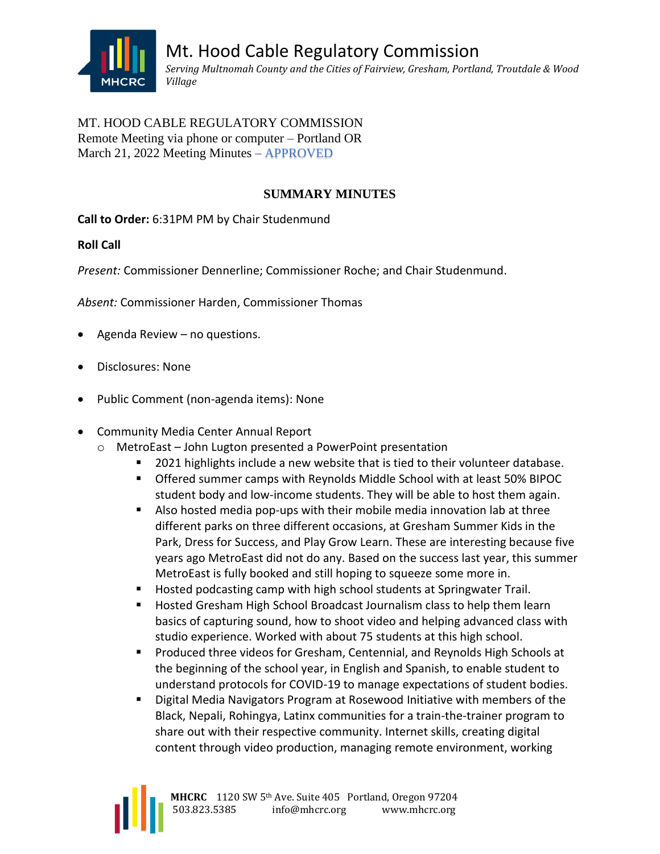

## MT. HOOD CABLE REGULATORY COMMISSION Remote Meeting via phone or computer – Portland OR March 21, 2022 Meeting Minutes – APPROVED

# **SUMMARY MINUTES**

**Call to Order:** 6:31PM PM by Chair Studenmund

## **Roll Call**

*Present:* Commissioner Dennerline; Commissioner Roche; and Chair Studenmund.

*Absent:* Commissioner Harden, Commissioner Thomas

- Agenda Review no questions.
- Disclosures: None
- Public Comment (non-agenda items): None
- Community Media Center Annual Report
	- o MetroEast John Lugton presented a PowerPoint presentation
		- 2021 highlights include a new website that is tied to their volunteer database.
		- Offered summer camps with Reynolds Middle School with at least 50% BIPOC student body and low-income students. They will be able to host them again.
		- Also hosted media pop-ups with their mobile media innovation lab at three different parks on three different occasions, at Gresham Summer Kids in the Park, Dress for Success, and Play Grow Learn. These are interesting because five years ago MetroEast did not do any. Based on the success last year, this summer MetroEast is fully booked and still hoping to squeeze some more in.
		- Hosted podcasting camp with high school students at Springwater Trail.
		- Hosted Gresham High School Broadcast Journalism class to help them learn basics of capturing sound, how to shoot video and helping advanced class with studio experience. Worked with about 75 students at this high school.
		- Produced three videos for Gresham, Centennial, and Reynolds High Schools at the beginning of the school year, in English and Spanish, to enable student to understand protocols for COVID-19 to manage expectations of student bodies.
		- **E** Digital Media Navigators Program at Rosewood Initiative with members of the Black, Nepali, Rohingya, Latinx communities for a train-the-trainer program to share out with their respective community. Internet skills, creating digital content through video production, managing remote environment, working

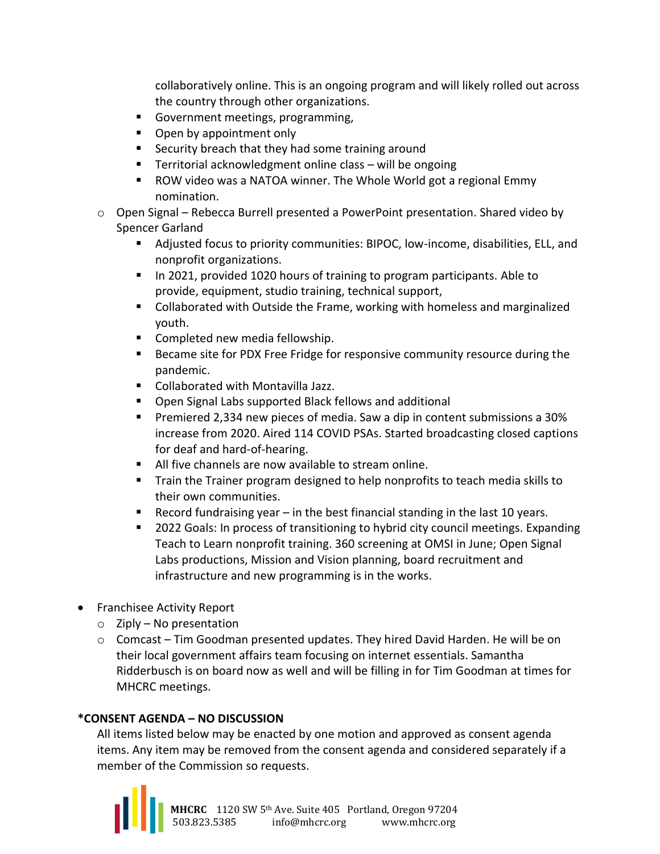collaboratively online. This is an ongoing program and will likely rolled out across the country through other organizations.

- Government meetings, programming,
- Open by appointment only
- Security breach that they had some training around
- Territorial acknowledgment online class will be ongoing
- ROW video was a NATOA winner. The Whole World got a regional Emmy nomination.
- $\circ$  Open Signal Rebecca Burrell presented a PowerPoint presentation. Shared video by Spencer Garland
	- Adjusted focus to priority communities: BIPOC, low-income, disabilities, ELL, and nonprofit organizations.
	- In 2021, provided 1020 hours of training to program participants. Able to provide, equipment, studio training, technical support,
	- Collaborated with Outside the Frame, working with homeless and marginalized youth.
	- Completed new media fellowship.
	- Became site for PDX Free Fridge for responsive community resource during the pandemic.
	- Collaborated with Montavilla Jazz.
	- Open Signal Labs supported Black fellows and additional
	- Premiered 2,334 new pieces of media. Saw a dip in content submissions a 30% increase from 2020. Aired 114 COVID PSAs. Started broadcasting closed captions for deaf and hard-of-hearing.
	- All five channels are now available to stream online.
	- Train the Trainer program designed to help nonprofits to teach media skills to their own communities.
	- **E** Record fundraising year  $-$  in the best financial standing in the last 10 years.
	- 2022 Goals: In process of transitioning to hybrid city council meetings. Expanding Teach to Learn nonprofit training. 360 screening at OMSI in June; Open Signal Labs productions, Mission and Vision planning, board recruitment and infrastructure and new programming is in the works.
- Franchisee Activity Report
	- $\circ$  Ziply No presentation
	- $\circ$  Comcast Tim Goodman presented updates. They hired David Harden. He will be on their local government affairs team focusing on internet essentials. Samantha Ridderbusch is on board now as well and will be filling in for Tim Goodman at times for MHCRC meetings.

## **\*CONSENT AGENDA – NO DISCUSSION**

All items listed below may be enacted by one motion and approved as consent agenda items. Any item may be removed from the consent agenda and considered separately if a member of the Commission so requests.

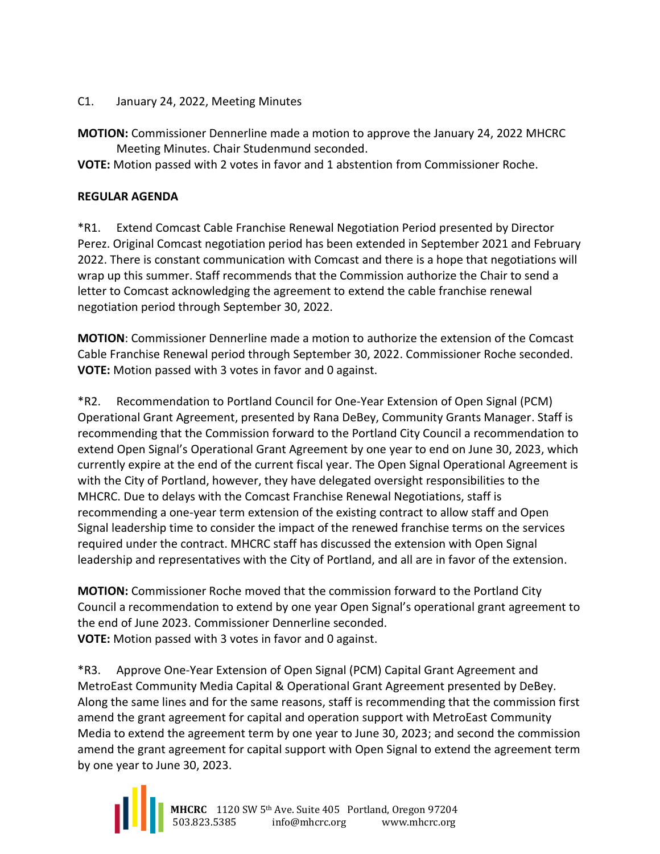#### C1. January 24, 2022, Meeting Minutes

**MOTION:** Commissioner Dennerline made a motion to approve the January 24, 2022 MHCRC Meeting Minutes. Chair Studenmund seconded.

**VOTE:** Motion passed with 2 votes in favor and 1 abstention from Commissioner Roche.

#### **REGULAR AGENDA**

\*R1. Extend Comcast Cable Franchise Renewal Negotiation Period presented by Director Perez. Original Comcast negotiation period has been extended in September 2021 and February 2022. There is constant communication with Comcast and there is a hope that negotiations will wrap up this summer. Staff recommends that the Commission authorize the Chair to send a letter to Comcast acknowledging the agreement to extend the cable franchise renewal negotiation period through September 30, 2022.

**MOTION**: Commissioner Dennerline made a motion to authorize the extension of the Comcast Cable Franchise Renewal period through September 30, 2022. Commissioner Roche seconded. **VOTE:** Motion passed with 3 votes in favor and 0 against.

\*R2. Recommendation to Portland Council for One-Year Extension of Open Signal (PCM) Operational Grant Agreement, presented by Rana DeBey, Community Grants Manager. Staff is recommending that the Commission forward to the Portland City Council a recommendation to extend Open Signal's Operational Grant Agreement by one year to end on June 30, 2023, which currently expire at the end of the current fiscal year. The Open Signal Operational Agreement is with the City of Portland, however, they have delegated oversight responsibilities to the MHCRC. Due to delays with the Comcast Franchise Renewal Negotiations, staff is recommending a one-year term extension of the existing contract to allow staff and Open Signal leadership time to consider the impact of the renewed franchise terms on the services required under the contract. MHCRC staff has discussed the extension with Open Signal leadership and representatives with the City of Portland, and all are in favor of the extension.

**MOTION:** Commissioner Roche moved that the commission forward to the Portland City Council a recommendation to extend by one year Open Signal's operational grant agreement to the end of June 2023. Commissioner Dennerline seconded. **VOTE:** Motion passed with 3 votes in favor and 0 against.

\*R3. Approve One-Year Extension of Open Signal (PCM) Capital Grant Agreement and MetroEast Community Media Capital & Operational Grant Agreement presented by DeBey. Along the same lines and for the same reasons, staff is recommending that the commission first amend the grant agreement for capital and operation support with MetroEast Community Media to extend the agreement term by one year to June 30, 2023; and second the commission amend the grant agreement for capital support with Open Signal to extend the agreement term by one year to June 30, 2023.

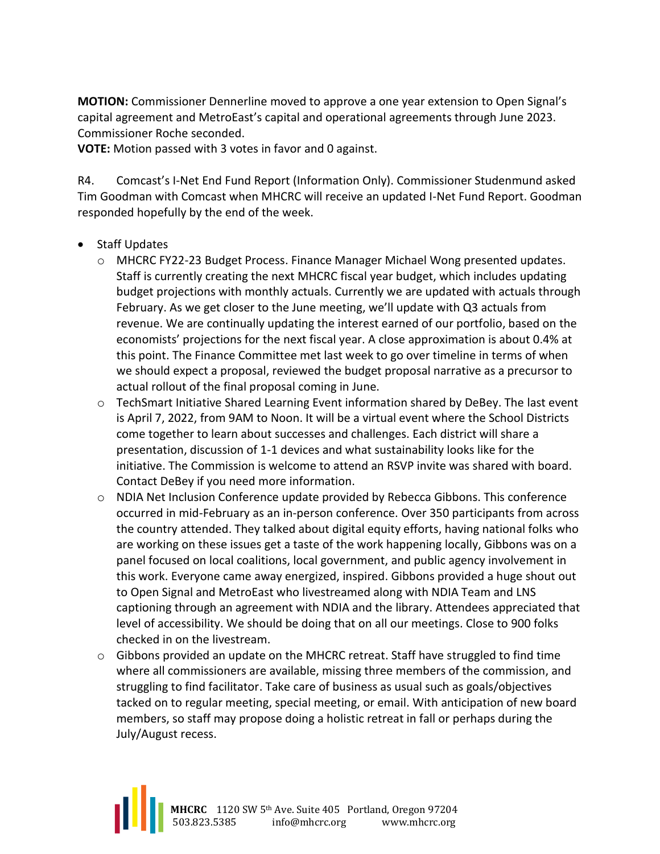**MOTION:** Commissioner Dennerline moved to approve a one year extension to Open Signal's capital agreement and MetroEast's capital and operational agreements through June 2023. Commissioner Roche seconded.

**VOTE:** Motion passed with 3 votes in favor and 0 against.

R4. Comcast's I-Net End Fund Report (Information Only). Commissioner Studenmund asked Tim Goodman with Comcast when MHCRC will receive an updated I-Net Fund Report. Goodman responded hopefully by the end of the week.

- Staff Updates
	- o MHCRC FY22-23 Budget Process. Finance Manager Michael Wong presented updates. Staff is currently creating the next MHCRC fiscal year budget, which includes updating budget projections with monthly actuals. Currently we are updated with actuals through February. As we get closer to the June meeting, we'll update with Q3 actuals from revenue. We are continually updating the interest earned of our portfolio, based on the economists' projections for the next fiscal year. A close approximation is about 0.4% at this point. The Finance Committee met last week to go over timeline in terms of when we should expect a proposal, reviewed the budget proposal narrative as a precursor to actual rollout of the final proposal coming in June.
	- o TechSmart Initiative Shared Learning Event information shared by DeBey. The last event is April 7, 2022, from 9AM to Noon. It will be a virtual event where the School Districts come together to learn about successes and challenges. Each district will share a presentation, discussion of 1-1 devices and what sustainability looks like for the initiative. The Commission is welcome to attend an RSVP invite was shared with board. Contact DeBey if you need more information.
	- $\circ$  NDIA Net Inclusion Conference update provided by Rebecca Gibbons. This conference occurred in mid-February as an in-person conference. Over 350 participants from across the country attended. They talked about digital equity efforts, having national folks who are working on these issues get a taste of the work happening locally, Gibbons was on a panel focused on local coalitions, local government, and public agency involvement in this work. Everyone came away energized, inspired. Gibbons provided a huge shout out to Open Signal and MetroEast who livestreamed along with NDIA Team and LNS captioning through an agreement with NDIA and the library. Attendees appreciated that level of accessibility. We should be doing that on all our meetings. Close to 900 folks checked in on the livestream.
	- $\circ$  Gibbons provided an update on the MHCRC retreat. Staff have struggled to find time where all commissioners are available, missing three members of the commission, and struggling to find facilitator. Take care of business as usual such as goals/objectives tacked on to regular meeting, special meeting, or email. With anticipation of new board members, so staff may propose doing a holistic retreat in fall or perhaps during the July/August recess.